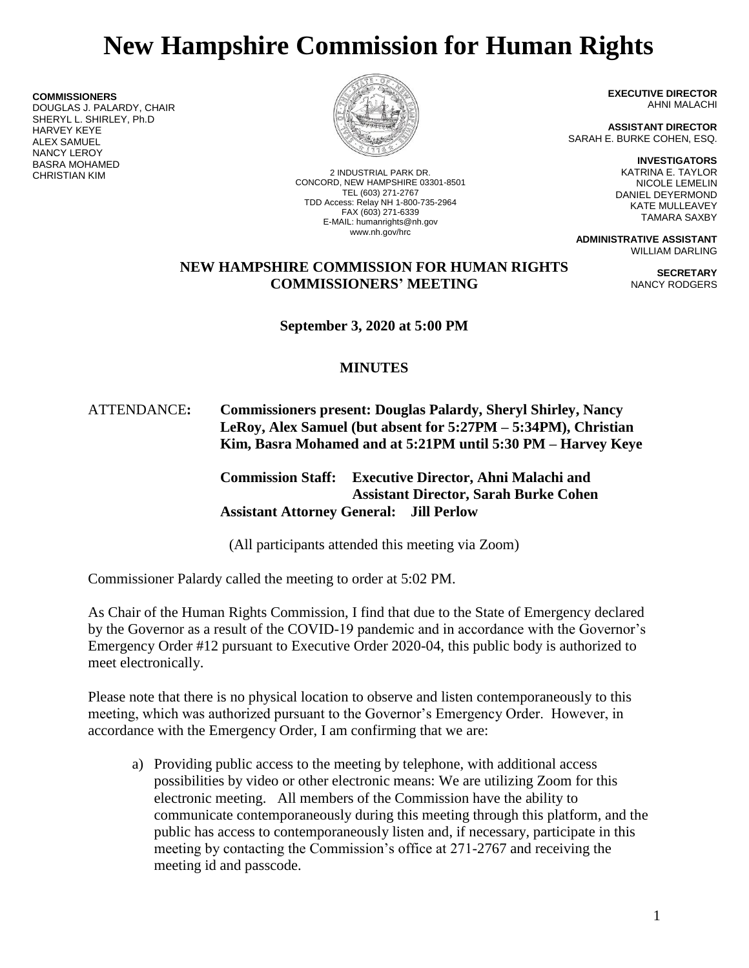# **New Hampshire Commission for Human Rights**

**COMMISSIONERS** DOUGLAS J. PALARDY, CHAIR SHERYL L. SHIRLEY, Ph.D HARVEY KEYE ALEX SAMUEL NANCY LEROY BASRA MOHAMED



2 INDUSTRIAL PARK DR. CONCORD, NEW HAMPSHIRE 03301-8501 TEL (603) 271-2767 TDD Access: Relay NH 1-800-735-2964 FAX (603) 271-6339 E-MAIL: humanrights@nh.gov www.nh.gov/hrc

**EXECUTIVE DIRECTOR** AHNI MALACHI

**ASSISTANT DIRECTOR** SARAH E. BURKE COHEN, ESQ.

> **INVESTIGATORS** KATRINA E. TAYLOR NICOLE LEMELIN DANIEL DEYERMOND KATE MULLEAVEY TAMARA SAXBY

> > **SECRETARY** NANCY RODGERS

**ADMINISTRATIVE ASSISTANT** WILLIAM DARLING

## **NEW HAMPSHIRE COMMISSION FOR HUMAN RIGHTS COMMISSIONERS' MEETING**

**September 3, 2020 at 5:00 PM**

## **MINUTES**

## ATTENDANCE**: Commissioners present: Douglas Palardy, Sheryl Shirley, Nancy LeRoy, Alex Samuel (but absent for 5:27PM – 5:34PM), Christian Kim, Basra Mohamed and at 5:21PM until 5:30 PM – Harvey Keye**

**Commission Staff: Executive Director, Ahni Malachi and Assistant Director, Sarah Burke Cohen Assistant Attorney General: Jill Perlow**

(All participants attended this meeting via Zoom)

Commissioner Palardy called the meeting to order at 5:02 PM.

As Chair of the Human Rights Commission, I find that due to the State of Emergency declared by the Governor as a result of the COVID-19 pandemic and in accordance with the Governor's Emergency Order #12 pursuant to Executive Order 2020-04, this public body is authorized to meet electronically.

Please note that there is no physical location to observe and listen contemporaneously to this meeting, which was authorized pursuant to the Governor's Emergency Order. However, in accordance with the Emergency Order, I am confirming that we are:

a) Providing public access to the meeting by telephone, with additional access possibilities by video or other electronic means: We are utilizing Zoom for this electronic meeting. All members of the Commission have the ability to communicate contemporaneously during this meeting through this platform, and the public has access to contemporaneously listen and, if necessary, participate in this meeting by contacting the Commission's office at 271-2767 and receiving the meeting id and passcode.

1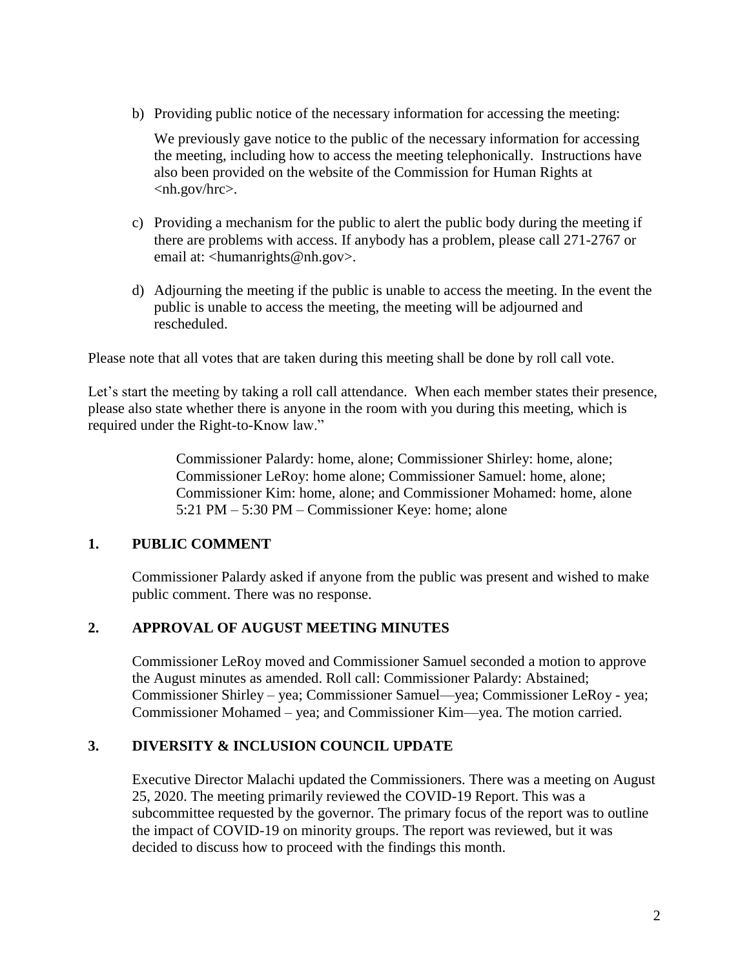b) Providing public notice of the necessary information for accessing the meeting:

We previously gave notice to the public of the necessary information for accessing the meeting, including how to access the meeting telephonically. Instructions have also been provided on the website of the Commission for Human Rights at <nh.gov/hrc>.

- c) Providing a mechanism for the public to alert the public body during the meeting if there are problems with access. If anybody has a problem, please call 271-2767 or email at: <humanrights@nh.gov>.
- d) Adjourning the meeting if the public is unable to access the meeting. In the event the public is unable to access the meeting, the meeting will be adjourned and rescheduled.

Please note that all votes that are taken during this meeting shall be done by roll call vote.

Let's start the meeting by taking a roll call attendance. When each member states their presence, please also state whether there is anyone in the room with you during this meeting, which is required under the Right-to-Know law."

> Commissioner Palardy: home, alone; Commissioner Shirley: home, alone; Commissioner LeRoy: home alone; Commissioner Samuel: home, alone; Commissioner Kim: home, alone; and Commissioner Mohamed: home, alone 5:21 PM – 5:30 PM – Commissioner Keye: home; alone

## **1. PUBLIC COMMENT**

Commissioner Palardy asked if anyone from the public was present and wished to make public comment. There was no response.

## **2. APPROVAL OF AUGUST MEETING MINUTES**

Commissioner LeRoy moved and Commissioner Samuel seconded a motion to approve the August minutes as amended. Roll call: Commissioner Palardy: Abstained; Commissioner Shirley – yea; Commissioner Samuel—yea; Commissioner LeRoy - yea; Commissioner Mohamed – yea; and Commissioner Kim—yea. The motion carried.

## **3. DIVERSITY & INCLUSION COUNCIL UPDATE**

Executive Director Malachi updated the Commissioners. There was a meeting on August 25, 2020. The meeting primarily reviewed the COVID-19 Report. This was a subcommittee requested by the governor. The primary focus of the report was to outline the impact of COVID-19 on minority groups. The report was reviewed, but it was decided to discuss how to proceed with the findings this month.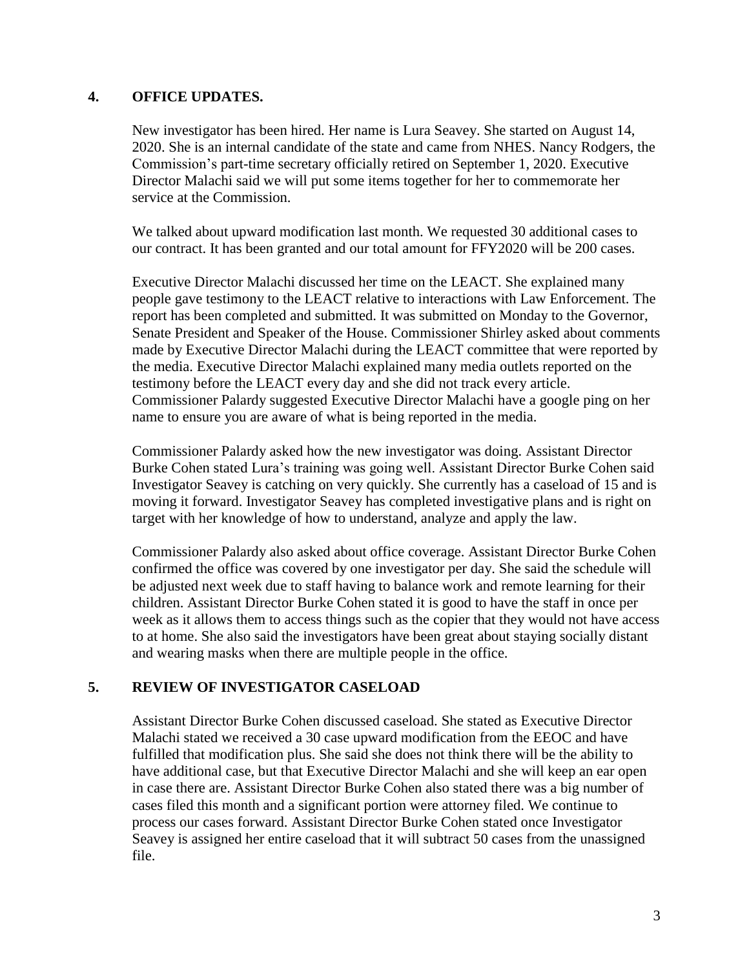#### **4. OFFICE UPDATES.**

New investigator has been hired. Her name is Lura Seavey. She started on August 14, 2020. She is an internal candidate of the state and came from NHES. Nancy Rodgers, the Commission's part-time secretary officially retired on September 1, 2020. Executive Director Malachi said we will put some items together for her to commemorate her service at the Commission.

We talked about upward modification last month. We requested 30 additional cases to our contract. It has been granted and our total amount for FFY2020 will be 200 cases.

Executive Director Malachi discussed her time on the LEACT. She explained many people gave testimony to the LEACT relative to interactions with Law Enforcement. The report has been completed and submitted. It was submitted on Monday to the Governor, Senate President and Speaker of the House. Commissioner Shirley asked about comments made by Executive Director Malachi during the LEACT committee that were reported by the media. Executive Director Malachi explained many media outlets reported on the testimony before the LEACT every day and she did not track every article. Commissioner Palardy suggested Executive Director Malachi have a google ping on her name to ensure you are aware of what is being reported in the media.

Commissioner Palardy asked how the new investigator was doing. Assistant Director Burke Cohen stated Lura's training was going well. Assistant Director Burke Cohen said Investigator Seavey is catching on very quickly. She currently has a caseload of 15 and is moving it forward. Investigator Seavey has completed investigative plans and is right on target with her knowledge of how to understand, analyze and apply the law.

Commissioner Palardy also asked about office coverage. Assistant Director Burke Cohen confirmed the office was covered by one investigator per day. She said the schedule will be adjusted next week due to staff having to balance work and remote learning for their children. Assistant Director Burke Cohen stated it is good to have the staff in once per week as it allows them to access things such as the copier that they would not have access to at home. She also said the investigators have been great about staying socially distant and wearing masks when there are multiple people in the office.

#### **5. REVIEW OF INVESTIGATOR CASELOAD**

Assistant Director Burke Cohen discussed caseload. She stated as Executive Director Malachi stated we received a 30 case upward modification from the EEOC and have fulfilled that modification plus. She said she does not think there will be the ability to have additional case, but that Executive Director Malachi and she will keep an ear open in case there are. Assistant Director Burke Cohen also stated there was a big number of cases filed this month and a significant portion were attorney filed. We continue to process our cases forward. Assistant Director Burke Cohen stated once Investigator Seavey is assigned her entire caseload that it will subtract 50 cases from the unassigned file.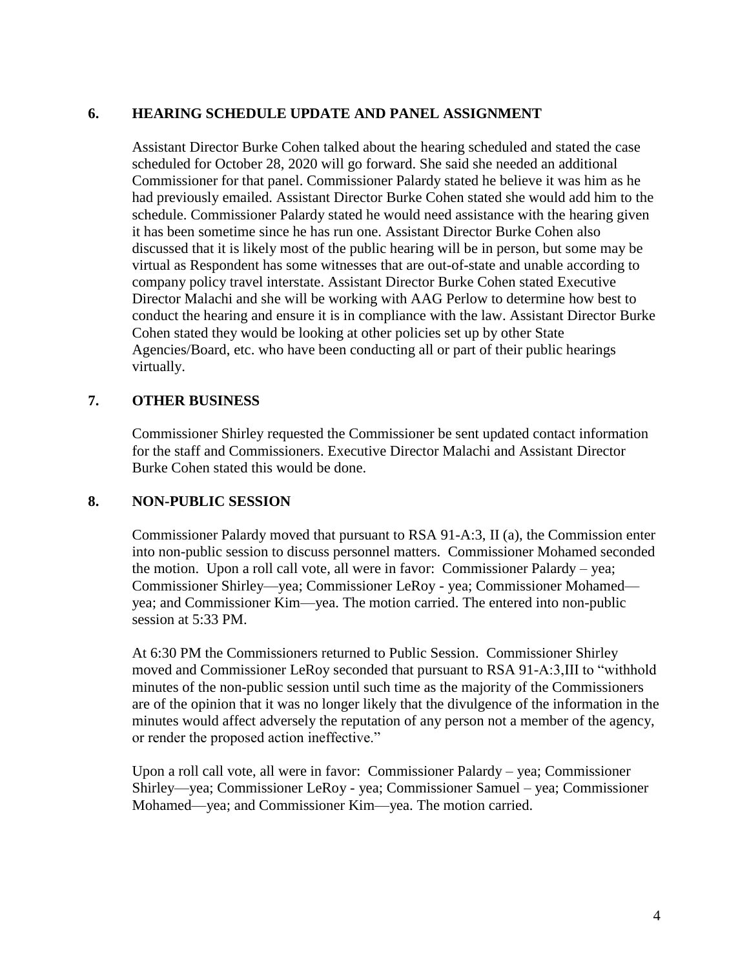## **6. HEARING SCHEDULE UPDATE AND PANEL ASSIGNMENT**

Assistant Director Burke Cohen talked about the hearing scheduled and stated the case scheduled for October 28, 2020 will go forward. She said she needed an additional Commissioner for that panel. Commissioner Palardy stated he believe it was him as he had previously emailed. Assistant Director Burke Cohen stated she would add him to the schedule. Commissioner Palardy stated he would need assistance with the hearing given it has been sometime since he has run one. Assistant Director Burke Cohen also discussed that it is likely most of the public hearing will be in person, but some may be virtual as Respondent has some witnesses that are out-of-state and unable according to company policy travel interstate. Assistant Director Burke Cohen stated Executive Director Malachi and she will be working with AAG Perlow to determine how best to conduct the hearing and ensure it is in compliance with the law. Assistant Director Burke Cohen stated they would be looking at other policies set up by other State Agencies/Board, etc. who have been conducting all or part of their public hearings virtually.

## **7. OTHER BUSINESS**

Commissioner Shirley requested the Commissioner be sent updated contact information for the staff and Commissioners. Executive Director Malachi and Assistant Director Burke Cohen stated this would be done.

#### **8. NON-PUBLIC SESSION**

Commissioner Palardy moved that pursuant to RSA 91-A:3, II (a), the Commission enter into non-public session to discuss personnel matters. Commissioner Mohamed seconded the motion. Upon a roll call vote, all were in favor: Commissioner Palardy – yea; Commissioner Shirley—yea; Commissioner LeRoy - yea; Commissioner Mohamed yea; and Commissioner Kim—yea. The motion carried. The entered into non-public session at 5:33 PM.

At 6:30 PM the Commissioners returned to Public Session. Commissioner Shirley moved and Commissioner LeRoy seconded that pursuant to RSA 91-A:3,III to "withhold minutes of the non-public session until such time as the majority of the Commissioners are of the opinion that it was no longer likely that the divulgence of the information in the minutes would affect adversely the reputation of any person not a member of the agency, or render the proposed action ineffective."

Upon a roll call vote, all were in favor: Commissioner Palardy – yea; Commissioner Shirley—yea; Commissioner LeRoy - yea; Commissioner Samuel – yea; Commissioner Mohamed—yea; and Commissioner Kim—yea. The motion carried.